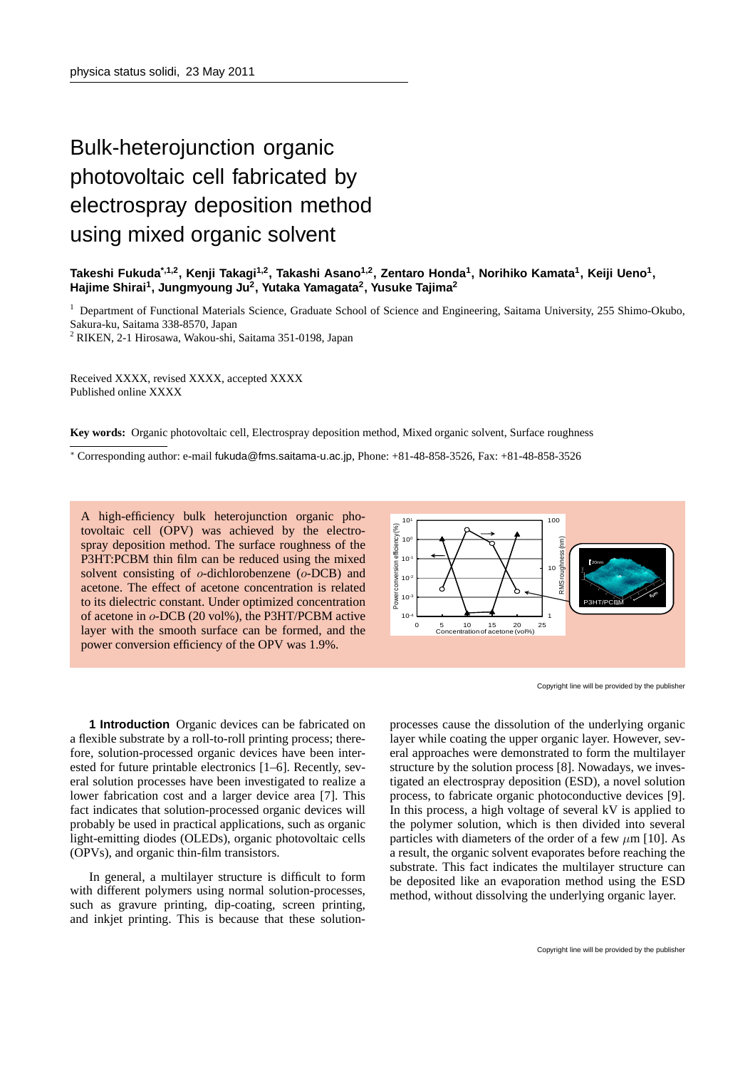## Bulk-heterojunction organic photovoltaic cell fabricated by electrospray deposition method using mixed organic solvent

## **Takeshi Fukuda\*,1,2, Kenji Takagi1,2, Takashi Asano1,2, Zentaro Honda<sup>1</sup> , Norihiko Kamata<sup>1</sup> , Keiji Ueno<sup>1</sup> , Hajime Shirai<sup>1</sup> , Jungmyoung Ju<sup>2</sup> , Yutaka Yamagata<sup>2</sup> , Yusuke Tajima<sup>2</sup>**

<sup>1</sup> Department of Functional Materials Science, Graduate School of Science and Engineering, Saitama University, 255 Shimo-Okubo,

Sakura-ku, Saitama 338-8570, Japan

<sup>2</sup> RIKEN, 2-1 Hirosawa, Wakou-shi, Saitama 351-0198, Japan

Received XXXX, revised XXXX, accepted XXXX Published online XXXX

**Key words:** Organic photovoltaic cell, Electrospray deposition method, Mixed organic solvent, Surface roughness

*<sup>∗</sup>* Corresponding author: e-mail fukuda@fms.saitama-u.ac.jp, Phone: +81-48-858-3526, Fax: +81-48-858-3526

A high-efficiency bulk heterojunction organic photovoltaic cell (OPV) was achieved by the electrospray deposition method. The surface roughness of the P3HT:PCBM thin film can be reduced using the mixed solvent consisting of *o*-dichlorobenzene (*o*-DCB) and acetone. The effect of acetone concentration is related to its dielectric constant. Under optimized concentration of acetone in *o*-DCB (20 vol%), the P3HT/PCBM active layer with the smooth surface can be formed, and the power conversion efficiency of the OPV was 1.9%.



Copyright line will be provided by the publisher

**1 Introduction** Organic devices can be fabricated on a flexible substrate by a roll-to-roll printing process; therefore, solution-processed organic devices have been interested for future printable electronics [1–6]. Recently, several solution processes have been investigated to realize a lower fabrication cost and a larger device area [7]. This fact indicates that solution-processed organic devices will probably be used in practical applications, such as organic light-emitting diodes (OLEDs), organic photovoltaic cells (OPVs), and organic thin-film transistors.

In general, a multilayer structure is difficult to form with different polymers using normal solution-processes. such as gravure printing, dip-coating, screen printing, and inkjet printing. This is because that these solution-

processes cause the dissolution of the underlying organic layer while coating the upper organic layer. However, several approaches were demonstrated to form the multilayer structure by the solution process [8]. Nowadays, we investigated an electrospray deposition (ESD), a novel solution process, to fabricate organic photoconductive devices [9]. In this process, a high voltage of several kV is applied to the polymer solution, which is then divided into several particles with diameters of the order of a few *µ*m [10]. As a result, the organic solvent evaporates before reaching the substrate. This fact indicates the multilayer structure can be deposited like an evaporation method using the ESD method, without dissolving the underlying organic layer.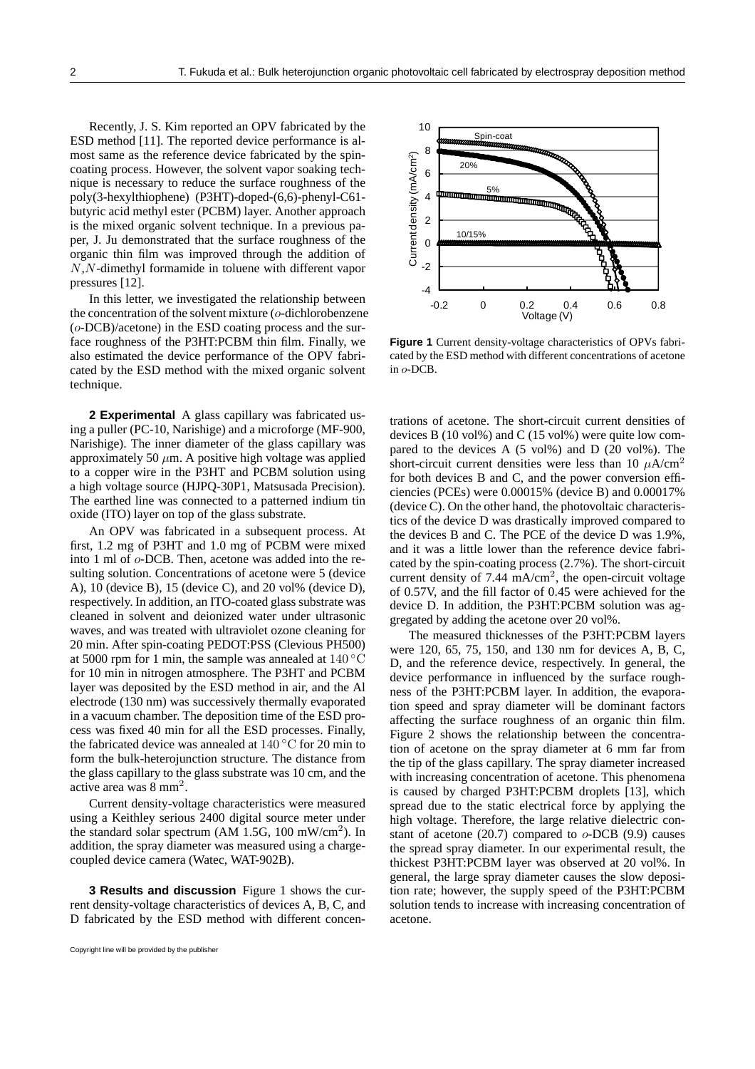Recently, J. S. Kim reported an OPV fabricated by the ESD method [11]. The reported device performance is almost same as the reference device fabricated by the spincoating process. However, the solvent vapor soaking technique is necessary to reduce the surface roughness of the poly(3-hexylthiophene) (P3HT)-doped-(6,6)-phenyl-C61 butyric acid methyl ester (PCBM) layer. Another approach is the mixed organic solvent technique. In a previous paper, J. Ju demonstrated that the surface roughness of the organic thin film was improved through the addition of *N*,*N*-dimethyl formamide in toluene with different vapor pressures [12].

In this letter, we investigated the relationship between the concentration of the solvent mixture (*o*-dichlorobenzene (*o*-DCB)/acetone) in the ESD coating process and the surface roughness of the P3HT:PCBM thin film. Finally, we also estimated the device performance of the OPV fabricated by the ESD method with the mixed organic solvent technique.

**2 Experimental** A glass capillary was fabricated using a puller (PC-10, Narishige) and a microforge (MF-900, Narishige). The inner diameter of the glass capillary was approximately 50  $\mu$ m. A positive high voltage was applied to a copper wire in the P3HT and PCBM solution using a high voltage source (HJPQ-30P1, Matsusada Precision). The earthed line was connected to a patterned indium tin oxide (ITO) layer on top of the glass substrate.

An OPV was fabricated in a subsequent process. At first, 1.2 mg of P3HT and 1.0 mg of PCBM were mixed into 1 ml of *o*-DCB. Then, acetone was added into the resulting solution. Concentrations of acetone were 5 (device A), 10 (device B), 15 (device C), and 20 vol% (device D), respectively. In addition, an ITO-coated glass substrate was cleaned in solvent and deionized water under ultrasonic waves, and was treated with ultraviolet ozone cleaning for 20 min. After spin-coating PEDOT:PSS (Clevious PH500) at 5000 rpm for 1 min, the sample was annealed at 140 *◦*C for 10 min in nitrogen atmosphere. The P3HT and PCBM layer was deposited by the ESD method in air, and the Al electrode (130 nm) was successively thermally evaporated in a vacuum chamber. The deposition time of the ESD process was fixed 40 min for all the ESD processes. Finally, the fabricated device was annealed at 140 *◦*C for 20 min to form the bulk-heterojunction structure. The distance from the glass capillary to the glass substrate was 10 cm, and the active area was 8 mm<sup>2</sup> . **Example 1.1** The intertino of the solvent initing the concentration of the solvent mixture (c-dictahloroherane of the DSIT-TCBM thin film. Finally, we **Figure 1** (co-DCB)/acetone) in the ESD coating process and the sur-<br>

Current density-voltage characteristics were measured using a Keithley serious 2400 digital source meter under the standard solar spectrum (AM 1.5G, 100 mW/cm<sup>2</sup> ). In addition, the spray diameter was measured using a chargecoupled device camera (Watec, WAT-902B).

**3 Results and discussion** Figure 1 shows the current density-voltage characteristics of devices A, B, C, and



**Figure 1** Current density-voltage characteristics of OPVs fabricated by the ESD method with different concentrations of acetone in *o*-DCB.

trations of acetone. The short-circuit current densities of devices B (10 vol%) and C (15 vol%) were quite low compared to the devices A (5 vol%) and D (20 vol%). The short-circuit current densities were less than 10  $\mu$ A/cm<sup>2</sup> for both devices B and C, and the power conversion efficiencies (PCEs) were 0.00015% (device B) and 0.00017% (device C). On the other hand, the photovoltaic characteristics of the device D was drastically improved compared to the devices B and C. The PCE of the device D was 1.9%, and it was a little lower than the reference device fabricated by the spin-coating process (2.7%). The short-circuit current density of  $7.44 \text{ mA/cm}^2$ , the open-circuit voltage of 0.57V, and the fill factor of 0.45 were achieved for the device D. In addition, the P3HT:PCBM solution was aggregated by adding the acetone over 20 vol%.

The measured thicknesses of the P3HT:PCBM layers were 120, 65, 75, 150, and 130 nm for devices A, B, C, D, and the reference device, respectively. In general, the device performance in influenced by the surface roughness of the P3HT:PCBM layer. In addition, the evaporation speed and spray diameter will be dominant factors affecting the surface roughness of an organic thin film. Figure 2 shows the relationship between the concentration of acetone on the spray diameter at 6 mm far from the tip of the glass capillary. The spray diameter increased with increasing concentration of acetone. This phenomena is caused by charged P3HT:PCBM droplets [13], which spread due to the static electrical force by applying the high voltage. Therefore, the large relative dielectric constant of acetone (20.7) compared to *o*-DCB (9.9) causes the spread spray diameter. In our experimental result, the thickest P3HT:PCBM layer was observed at 20 vol%. In general, the large spray diameter causes the slow deposition rate; however, the supply speed of the P3HT:PCBM solution tends to increase with increasing concentration of acetone.